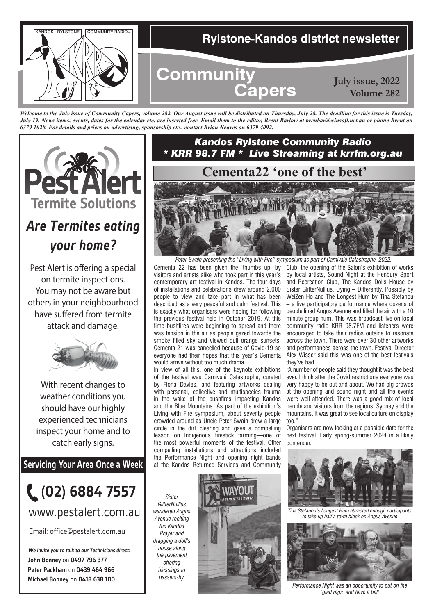

*Welcome to the July issue of Community Capers, volume 282. Our August issue will be distributed on Thursday, July 28. The deadline for this issue is Tuesday, July 19. News items, events, dates for the calendar etc. are inserted free. Email them to the editor, Brent Barlow at brenbar@winsoft.net.au or phone Brent on 6379 1020. For details and prices on advertising, sponsorship etc., contact Brian Neaves on 6379 4092.*



# *Are Termites eating your home?*

Pest Alert is offering a special on termite inspections. You may not be aware but others in your neighbourhood have suffered from termite attack and damage.



With recent changes to weather conditions you should have our highly experienced technicians inspect your home and to catch early signs.

**Servicing Your Area Once a Week**



## www.pestalert.com.au

Email: office@pestalert.com.au

**John Bonney** on **0497 796 377 Peter Packham** on **0439 464 966 Michael Bonney** on **0418 638 100 We invite you to talk to our Technicians direct:**

### *Kandos Rylstone Community Radio \* KRR 98.7 FM \* Live Streaming at krrfm.org.au*



Cementa 22 has been given the 'thumbs up' by visitors and artists alike who took part in this year's contemporary art festival in Kandos. The four days of installations and celebrations drew around 2,000 people to view and take part in what has been described as a very peaceful and calm festival. This is exactly what organisers were hoping for following the previous festival held in October 2019. At this time bushfires were beginning to spread and there was tension in the air as people gazed towards the smoke filled sky and viewed dull orange sunsets. Cementa 21 was cancelled because of Covid-19 so everyone had their hopes that this year's Cementa would arrive without too much drama. *Peter Swain presenting the "Living with Fire" symposium as part of Carnivalé Catastrophe, 2022.*

In view of all this, one of the keynote exhibitions of the festival was Carnivalé Catastrophe, curated by Fiona Davies, and featuring artworks dealing with personal, collective and multispecies trauma in the wake of the bushfires impacting Kandos and the Blue Mountains. As part of the exhibition's Living with Fire symposium, about seventy people crowded around as Uncle Peter Swain drew a large circle in the dirt clearing and gave a compelling lesson on Indigenous firestick farming—one of the most powerful moments of the festival. Other compelling installations and attractions included the Performance Night and opening night bands at the Kandos Returned Services and Community

Club, the opening of the Salon's exhibition of works by local artists, Sound Night at the Henbury Sport and Recreation Club, The Kandos Dolls House by Sister GlitterNullius, Dying – Differently, Possibly by WeiZen Ho and The Longest Hum by Tina Stefanou – a live participatory performance where dozens of people lined Angus Avenue and filled the air with a 10 minute group hum. This was broadcast live on local community radio KRR 98.7FM and listeners were encouraged to take their radios outside to resonate across the town. There were over 30 other artworks and performances across the town. Festival Director Alex Wisser said this was one of the best festivals they've had.

"A number of people said they thought it was the best ever. I think after the Covid restrictions everyone was very happy to be out and about. We had big crowds at the opening and sound night and all the events were well attended. There was a good mix of local people and visitors from the regions, Sydney and the mountains. It was great to see local culture on display too."

Organisers are now looking at a possible date for the next festival. Early spring-summer 2024 is a likely contender.



*Tina Stefanou's Longest Hum attracted enough participants to take up half a town block on Angus Avenue*



*Performance Night was an opportunity to put on the 'glad rags' and have a ball*

*Sister GlitterNullius wandered Angus Avenue reciting the Kandos Prayer and dragging a doll's house along the pavement offering blessings to passers-by.*

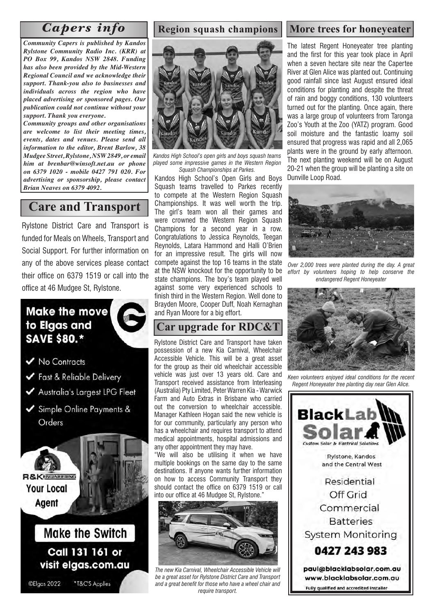*Community Capers is published by Kandos Rylstone Community Radio Inc. (KRR) at PO Box 99, Kandos NSW 2848. Funding has also been provided by the Mid-Western Regional Council and we acknowledge their support. Thank-you also to businesses and individuals across the region who have placed advertising or sponsored pages. Our publication could not continue without your support. Thank you everyone.* 

*Community groups and other organisations are welcome to list their meeting times, events, dates and venues. Please send all information to the editor, Brent Barlow, 38 Mudgee Street, Rylstone, NSW 2849, or email him at brenbar@winsoft.net.au or phone on 6379 1020 - mobile 0427 791 020. For advertising or sponsorship, please contact Brian Neaves on 6379 4092.*

### **Care and Transport**

Rylstone District Care and Transport is funded for Meals on Wheels, Transport and Social Support. For further information on any of the above services please contact their office on 6379 1519 or call into the office at 46 Mudgee St, Rylstone.

## **Make the move** to Elgas and **SAVE \$80.\***

V No Contracts

- Fast & Reliable Delivery
- Australia's Largest LPG Fleet
- Simple Online Payments & Orders



Call 131 161 or visit elgas.com.au

©Elgas 2022

\*T&C'S Applies

#### **Region squash champions**



*Kandos High School's open girls and boys squash teams played some impressive games in the Western Region Squash Championships at Parkes.* 

Kandos High School's Open Girls and Boys Squash teams travelled to Parkes recently to compete at the Western Region Squash Championships. It was well worth the trip. The girl's team won all their games and were crowned the Western Region Squash Champions for a second year in a row. Congratulations to Jessica Reynolds, Teegan Reynolds, Latara Hammond and Halli O'Brien for an impressive result. The girls will now compete against the top 16 teams in the state at the NSW knockout for the opportunity to be state champions. The boy's team played well against some very experienced schools to finish third in the Western Region. Well done to Brayden Moore, Cooper Duff, Noah Kernaghan and Ryan Moore for a big effort.

### **Car upgrade for RDC&T**

Rylstone District Care and Transport have taken possession of a new Kia Carnival, Wheelchair Accessible Vehicle. This will be a great asset for the group as their old wheelchair accessible vehicle was just over 13 years old. Care and Transport received assistance from Interleasing (Australia) Pty Limited, Peter Warren Kia - Warwick Farm and Auto Extras in Brisbane who carried out the conversion to wheelchair accessible. Manager Kathleen Hogan said the new vehicle is for our community, particularly any person who has a wheelchair and requires transport to attend medical appointments, hospital admissions and any other appointment they may have.

"We will also be utilising it when we have multiple bookings on the same day to the same destinations. If anyone wants further information on how to access Community Transport they should contact the office on 6379 1519 or call into our office at 46 Mudgee St, Rylstone."



*The new Kia Carnival, Wheelchair Accessible Vehicle will be a great asset for Rylstone District Care and Transport and a great benefit for those who have a wheel chair and require transport.*

## *Capers info* Region squash champions More trees for honeyeater

The latest Regent Honeyeater tree planting and the first for this year took place in April when a seven hectare site near the Capertee River at Glen Alice was planted out. Continuing good rainfall since last August ensured ideal conditions for planting and despite the threat of rain and boggy conditions, 130 volunteers turned out for the planting. Once again, there was a large group of volunteers from Taronga Zoo's Youth at the Zoo (YATZ) program. Good soil moisture and the fantastic loamy soil ensured that progress was rapid and all 2,065 plants were in the ground by early afternoon. The next planting weekend will be on August 20-21 when the group will be planting a site on Dunville Loop Road.



*Over 2,000 trees were planted during the day. A great effort by volunteers hoping to help conserve the endangered Regent Honeyeater*



*Keen volunteers enjoyed ideal conditions for the recent Regent Honeyeater tree planting day near Glen Alice.*

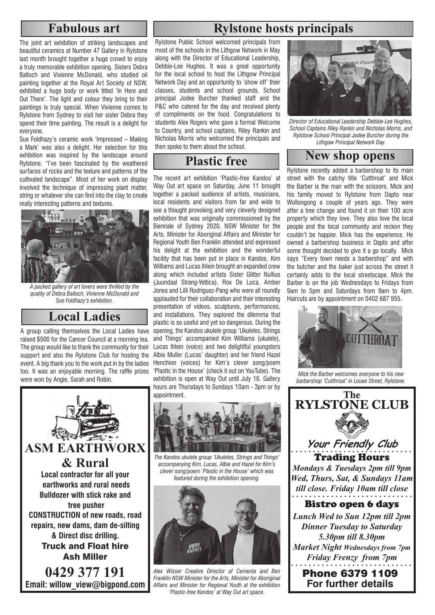### **Fabulous art**

The joint art exhibition of striking landscapes and beautiful ceramics at Number 47 Gallery in Rylstone last month brought together a huge crowd to enjoy a truly memorable exhibition opening. Sisters Debra Balloch and Vivienne McDonald, who studied oil painting together at the Royal Art Society of NSW, exhibited a huge body or work titled 'In Here and Out There'. The light and colour they bring to their paintings is truly special. When Vivienne comes to Rylstone from Sydney to visit her sister Debra they spend their time painting. The result is a delight for everyone.

Sue Foldhazy's ceramic work 'Impressed – Making a Mark' was also a delight. Her selection for this exhibition was inspired by the landscape around Rylstone. "I've been fascinated by the weathered surfaces of rocks and the texture and patterns of the cultivated landscape". Most of her work on display involved the technique of impressing plant matter, string or whatever she can find into the clay to create really interesting patterns and textures.



*A packed gallery of art lovers were thrilled by the quality of Debra Balloch, Vivienne McDonald and Sue Foldhazy's exhibition.* 

## **Local Ladies**

A group calling themselves the Local Ladies have raised \$500 for the Cancer Council at a morning tea. The group would like to thank the community for their support and also the Rylstone Club for hosting the event. A big thank you to the work put in by the ladies too. It was an enjoyable morning. The raffle prizes were won by Angie, Sarah and Robin.



## **Rylstone hosts principals**

Rylstone Public School welcomed principals from most of the schools in the Lithgow Network in May along with the Director of Educational Leadership, Debbie-Lee Hughes. It was a great opportunity for the local school to host the Lithgow Principal Network Day and an opportunity to 'show off' their classes, students and school grounds. School principal Jodee Burcher thanked staff and the P&C who catered for the day and received plenty of compliments on the food. Congratulations to students Alex Rogers who gave a formal Welcome to Country, and school captains, Riley Rankin and Nicholas Morris who welcomed the principals and then spoke to them about the school.

The recent art exhibition 'Plastic-free Kandos' at Way Out art space on Saturday, June 11 brought together a packed audience of artists, musicians, local residents and visitors from far and wide to see a thought provoking and very cleverly designed exhibition that was originally commissioned by the Biennale of Sydney 2020. NSW Minister for the Arts, Minister for Aboriginal Affairs and Minister for Regional Youth Ben Franklin attended and expressed his delight at the exhibition and the wonderful facility that has been put in place in Kandos. Kim Williams and Lucas Ihlein brought an expanded crew along which included artists Sister Glitter Nullius (Juundaal Strang-Yettica), Rox De Luca, Amber Jones and Lilli Rodriguez-Pang who were all roundly applauded for their collaboration and their interesting presentation of videos, sculptures, performances, and installations. They explored the dilemma that plastic is so useful and yet so dangerous. During the opening, the Kandos ukulele group 'Ukuleles, Strings and Things' accompanied Kim Williams (ukulele), Lucas Ihlein (voice) and two delightful youngsters Albie Muller (Lucas' daughter) and her friend Hazel Henchion (voices) for Kim's clever song/poem 'Plastic in the House' (check it out on YouTube). The exhibition is open at Way Out until July 16. Gallery hours are Thursdays to Sundays 10am - 3pm or by appointment.



*The Kandos ukulele group 'Ukuleles, Strings and Things' accompanying Kim, Lucas, Albie and Hazel for Kim's clever song/poem 'Plastic in the House' which was featured during the exhibition opening.*



*Alex Wisser Creative Director of Cementa and Ben Franklin NSW Minister for the Arts, Minister for Aboriginal Affairs and Minister for Regional Youth at the exhibition 'Plastic-free Kandos' at Way Out art space.*



*Director of Educational Leadership Debbie-Lee Hughes, School Captains Riley Rankin and Nicholas Morris, and Rylstone School Principal Jodee Burcher during the Lithgow Principal Network Day.*

# **Plastic free** New shop opens

Rylstone recently added a barbershop to its main street with the catchy title 'Cutthroat' and Mick the Barber is the man with the scissors. Mick and his family moved to Rylstone from Dapto near Wollongong a couple of years ago. They were after a tree change and found it on their 100 acre property which they love. They also love the local people and the local community and reckon they couldn't be happier. Mick has the experience. He owned a barbershop business in Dapto and after some thought decided to give it a go locally. Mick says "Every town needs a barbershop" and with the butcher and the baker just across the street it certainly adds to the local streetscape. Mick the Barber is on the job Wednesdays to Fridays from 9am to 5pm and Saturdays from 9am to 4pm. Haircuts are by appointment on 0402 687 955.



*Mick the Barber welcomes everyone to his new barbershop 'Cutthroat' in Louee Street, Rylstone.*